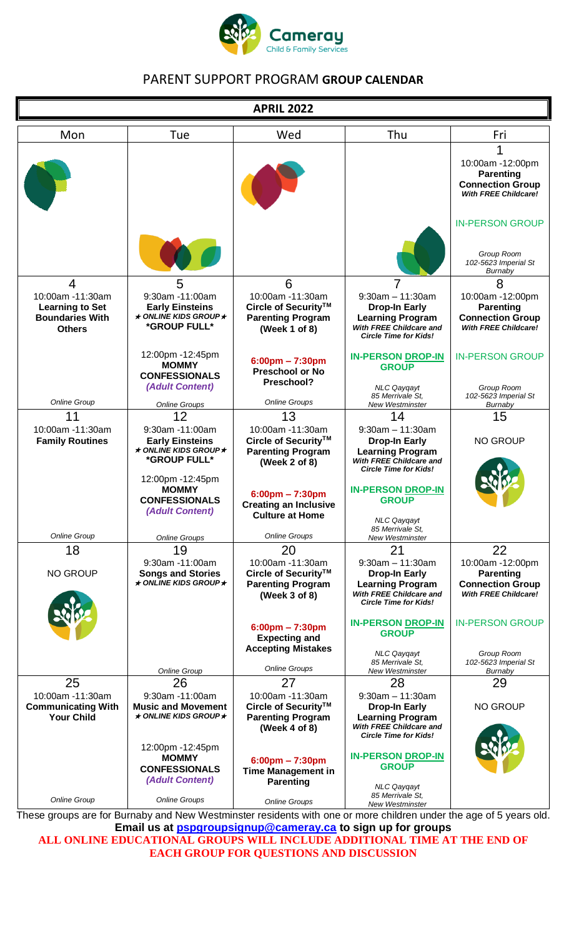

# PARENT SUPPORT PROGRAM **GROUP CALENDAR**

| <b>APRIL 2022</b>                             |                                                             |                                                           |                                                                |                                                        |
|-----------------------------------------------|-------------------------------------------------------------|-----------------------------------------------------------|----------------------------------------------------------------|--------------------------------------------------------|
| Mon                                           | Tue                                                         | Wed                                                       | Thu                                                            | Fri                                                    |
|                                               |                                                             |                                                           |                                                                | 1                                                      |
|                                               |                                                             |                                                           |                                                                | 10:00am -12:00pm                                       |
|                                               |                                                             |                                                           |                                                                | <b>Parenting</b><br><b>Connection Group</b>            |
|                                               |                                                             |                                                           |                                                                | <b>With FREE Childcare!</b>                            |
|                                               |                                                             |                                                           |                                                                |                                                        |
|                                               |                                                             |                                                           |                                                                | <b>IN-PERSON GROUP</b>                                 |
|                                               |                                                             |                                                           |                                                                |                                                        |
|                                               |                                                             |                                                           |                                                                | Group Room<br>102-5623 Imperial St                     |
| $\overline{4}$                                | 5                                                           | 6                                                         | 7                                                              | Burnaby<br>8                                           |
| 10:00am -11:30am                              | 9:30am -11:00am                                             | 10:00am -11:30am                                          | $9:30am - 11:30am$                                             | 10:00am -12:00pm                                       |
| <b>Learning to Set</b>                        | <b>Early Einsteins</b><br>$\star$ ONLINE KIDS GROUP $\star$ | Circle of Security™                                       | <b>Drop-In Early</b>                                           | <b>Parenting</b>                                       |
| <b>Boundaries With</b><br><b>Others</b>       | *GROUP FULL*                                                | <b>Parenting Program</b><br>(Week 1 of 8)                 | <b>Learning Program</b><br>With FREE Childcare and             | <b>Connection Group</b><br><b>With FREE Childcare!</b> |
|                                               |                                                             |                                                           | <b>Circle Time for Kids!</b>                                   |                                                        |
|                                               | 12:00pm -12:45pm<br><b>MOMMY</b>                            | $6:00 \text{pm} - 7:30 \text{pm}$                         | <b>IN-PERSON DROP-IN</b>                                       | <b>IN-PERSON GROUP</b>                                 |
|                                               | <b>CONFESSIONALS</b>                                        | <b>Preschool or No</b>                                    | <b>GROUP</b>                                                   |                                                        |
|                                               | (Adult Content)                                             | Preschool?                                                | <b>NLC Qayqayt</b><br>85 Merrivale St.                         | Group Room<br>102-5623 Imperial St                     |
| Online Group                                  | <b>Online Groups</b>                                        | <b>Online Groups</b>                                      | New Westminster                                                | Burnaby                                                |
| 11<br>10:00am -11:30am                        | 12<br>9:30am -11:00am                                       | 13<br>10:00am -11:30am                                    | 14<br>$9:30am - 11:30am$                                       | 15                                                     |
| <b>Family Routines</b>                        | <b>Early Einsteins</b>                                      | Circle of Security™                                       | <b>Drop-In Early</b>                                           | <b>NO GROUP</b>                                        |
|                                               | $\star$ ONLINE KIDS GROUP $\star$<br>*GROUP FULL*           | <b>Parenting Program</b><br>(Week 2 of 8)                 | <b>Learning Program</b><br>With FREE Childcare and             |                                                        |
|                                               | 12:00pm -12:45pm                                            |                                                           | <b>Circle Time for Kids!</b>                                   |                                                        |
|                                               | <b>MOMMY</b>                                                | $6:00$ pm – 7:30pm                                        | <b>IN-PERSON DROP-IN</b>                                       |                                                        |
|                                               | <b>CONFESSIONALS</b><br>(Adult Content)                     | <b>Creating an Inclusive</b>                              | <b>GROUP</b>                                                   |                                                        |
|                                               |                                                             | <b>Culture at Home</b>                                    | <b>NLC Qayqayt</b>                                             |                                                        |
| Online Group                                  | <b>Online Groups</b>                                        | <b>Online Groups</b>                                      | 85 Merrivale St.<br><b>New Westminster</b>                     |                                                        |
| 18                                            | 19                                                          | 20                                                        | 21                                                             | 22                                                     |
| <b>NO GROUP</b>                               | 9:30am -11:00am<br><b>Songs and Stories</b>                 | 10:00am -11:30am<br>Circle of Security™                   | $9:30am - 11:30am$<br><b>Drop-In Early</b>                     | 10:00am -12:00pm<br><b>Parenting</b>                   |
|                                               | $\star$ ONLINE KIDS GROUP $\star$                           | <b>Parenting Program</b>                                  | <b>Learning Program</b>                                        | <b>Connection Group</b><br><b>With FREE Childcare!</b> |
|                                               |                                                             | (Week 3 of 8)                                             | With FREE Childcare and<br><b>Circle Time for Kids!</b>        |                                                        |
|                                               |                                                             |                                                           | <b>IN-PERSON DROP-IN</b>                                       | <b>IN-PERSON GROUP</b>                                 |
|                                               |                                                             | $6:00 \text{pm} - 7:30 \text{pm}$<br><b>Expecting and</b> | <b>GROUP</b>                                                   |                                                        |
|                                               |                                                             | <b>Accepting Mistakes</b>                                 | <b>NLC Qaygayt</b>                                             | Group Room                                             |
|                                               | <b>Online Group</b>                                         | <b>Online Groups</b>                                      | 85 Merrivale St.<br><b>New Westminster</b>                     | 102-5623 Imperial St<br>Burnaby                        |
| 25                                            | 26                                                          | 27                                                        | 28                                                             | 29                                                     |
| 10:00am -11:30am<br><b>Communicating With</b> | 9:30am -11:00am<br><b>Music and Movement</b>                | 10:00am -11:30am<br>Circle of Security™                   | $9:30am - 11:30am$<br><b>Drop-In Early</b>                     | <b>NO GROUP</b>                                        |
| <b>Your Child</b>                             | $\star$ ONLINE KIDS GROUP $\star$                           | <b>Parenting Program</b>                                  | <b>Learning Program</b>                                        |                                                        |
|                                               |                                                             | (Week 4 of 8)                                             | <b>With FREE Childcare and</b><br><b>Circle Time for Kids!</b> |                                                        |
|                                               | 12:00pm -12:45pm                                            |                                                           | <b>IN-PERSON DROP-IN</b>                                       |                                                        |
|                                               | <b>MOMMY</b><br><b>CONFESSIONALS</b>                        | $6:00$ pm - 7:30pm<br><b>Time Management in</b>           | <b>GROUP</b>                                                   |                                                        |
|                                               | (Adult Content)                                             | <b>Parenting</b>                                          | <b>NLC Qayqayt</b>                                             |                                                        |
| <b>Online Group</b>                           | <b>Online Groups</b>                                        | <b>Online Groups</b>                                      | 85 Merrivale St.<br><b>New Westminster</b>                     |                                                        |

These groups are for Burnaby and New Westminster residents with one or more children under the age of 5 years old. **Email us at [pspgroupsignup@cameray.ca](mailto:pspgroupsignup@cameray.ca) to sign up for groups**

**ALL ONLINE EDUCATIONAL GROUPS WILL INCLUDE ADDITIONAL TIME AT THE END OF EACH GROUP FOR QUESTIONS AND DISCUSSION**